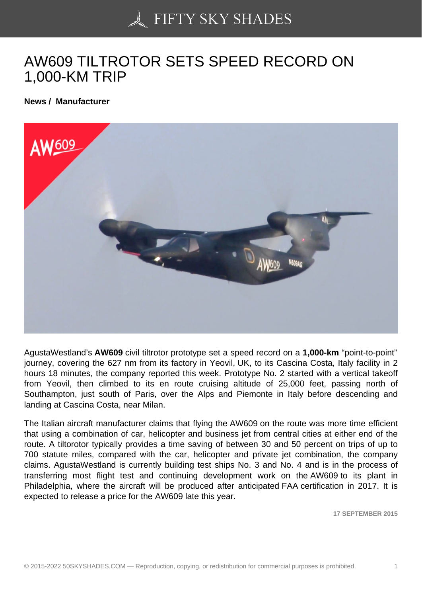## [AW609 TILTROTOR S](https://50skyshades.com)ETS SPEED RECORD ON 1,000-KM TRIP

News / Manufacturer

AgustaWestland's AW609 civil tiltrotor prototype set a speed record on a 1,000-km "point-to-point" journey, covering the 627 nm from its factory in Yeovil, UK, to its Cascina Costa, Italy facility in 2 hours 18 minutes, the company reported this week. Prototype No. 2 started with a vertical takeoff from Yeovil, then climbed to its en route cruising altitude of 25,000 feet, passing north of Southampton, just south of Paris, over the Alps and Piemonte in Italy before descending and landing at Cascina Costa, near Milan.

The Italian aircraft manufacturer claims that flying the AW609 on the route was more time efficient that using a combination of car, helicopter and business jet from central cities at either end of the route. A tiltorotor typically provides a time saving of between 30 and 50 percent on trips of up to 700 statute miles, compared with the car, helicopter and private jet combination, the company claims. AgustaWestland is currently building test ships No. 3 and No. 4 and is in the process of transferring most flight test and continuing development work on the AW609 to its plant in Philadelphia, where the aircraft will be produced after anticipated FAA certification in 2017. It is expected to release a price for the AW609 late this year.

17 SEPTEMBER 2015